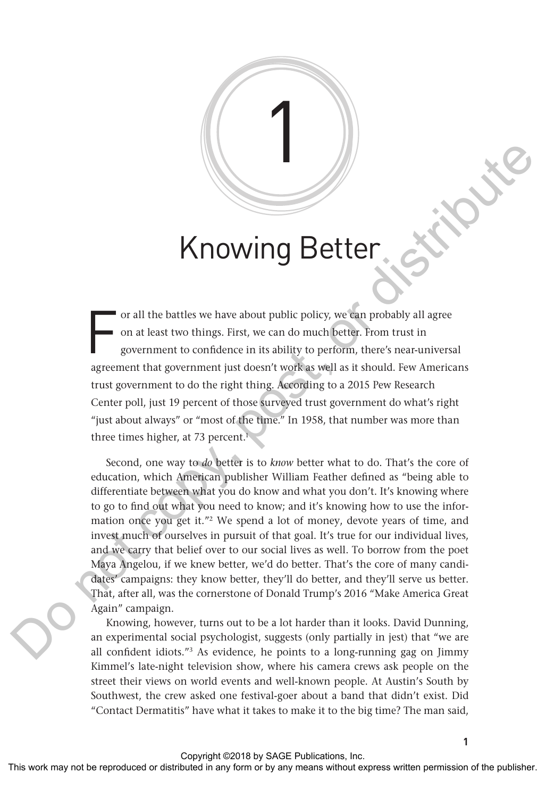# 1

# Knowing Better

or all the battles we have about public policy, we can probably all agree<br>
on at least two things. First, we can do much better. From trust in<br>
government to confidence in its ability to perform, there's near-universal on at least two things. First, we can do much better. From trust in agreement that government just doesn't work as well as it should. Few Americans trust government to do the right thing. According to a 2015 Pew Research Center poll, just 19 percent of those surveyed trust government do what's right "just about always" or "most of the time." In 1958, that number was more than three times higher, at 73 percent.<sup>1</sup>

Second, one way to *do* better is to *know* better what to do. That's the core of education, which American publisher William Feather defined as "being able to differentiate between what you do know and what you don't. It's knowing where to go to find out what you need to know; and it's knowing how to use the information once you get it."2 We spend a lot of money, devote years of time, and invest much of ourselves in pursuit of that goal. It's true for our individual lives, and we carry that belief over to our social lives as well. To borrow from the poet Maya Angelou, if we knew better, we'd do better. That's the core of many candidates' campaigns: they know better, they'll do better, and they'll serve us better. That, after all, was the cornerstone of Donald Trump's 2016 "Make America Great Again" campaign. **The representation** of the reproduced or distributed in any form of the publisher. This we represent the stationary is the representation of the publishers with a stationary of the publisher. The means were represented i

Knowing, however, turns out to be a lot harder than it looks. David Dunning, an experimental social psychologist, suggests (only partially in jest) that "we are all confident idiots."3 As evidence, he points to a long-running gag on Jimmy Kimmel's late-night television show, where his camera crews ask people on the street their views on world events and well-known people. At Austin's South by Southwest, the crew asked one festival-goer about a band that didn't exist. Did "Contact Dermatitis" have what it takes to make it to the big time? The man said,

**1**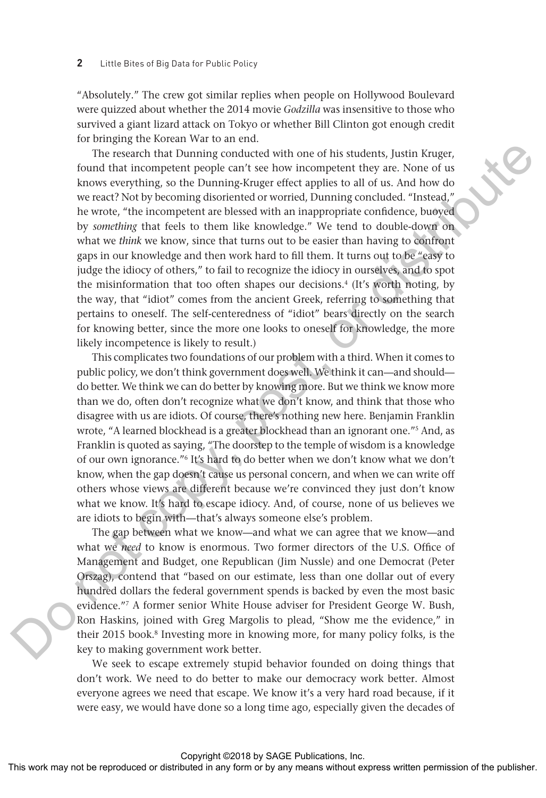"Absolutely." The crew got similar replies when people on Hollywood Boulevard were quizzed about whether the 2014 movie *Godzilla* was insensitive to those who survived a giant lizard attack on Tokyo or whether Bill Clinton got enough credit for bringing the Korean War to an end.

The research that Dunning conducted with one of his students, Justin Kruger, found that incompetent people can't see how incompetent they are. None of us knows everything, so the Dunning-Kruger effect applies to all of us. And how do we react? Not by becoming disoriented or worried, Dunning concluded. "Instead," he wrote, "the incompetent are blessed with an inappropriate confidence, buoyed by *something* that feels to them like knowledge." We tend to double-down on what we *think* we know, since that turns out to be easier than having to confront gaps in our knowledge and then work hard to fill them. It turns out to be "easy to judge the idiocy of others," to fail to recognize the idiocy in ourselves, and to spot the misinformation that too often shapes our decisions.<sup>4</sup> (It's worth noting, by the way, that "idiot" comes from the ancient Greek, referring to something that pertains to oneself. The self-centeredness of "idiot" bears directly on the search for knowing better, since the more one looks to oneself for knowledge, the more likely incompetence is likely to result.) The research that households with our state studies that the results of the results are of the results are better permit any proper term of the results were the publisher. This was not be reproduced to the results were th

This complicates two foundations of our problem with a third. When it comes to public policy, we don't think government does well. We think it can—and should do better. We think we can do better by knowing more. But we think we know more than we do, often don't recognize what we don't know, and think that those who disagree with us are idiots. Of course, there's nothing new here. Benjamin Franklin wrote, "A learned blockhead is a greater blockhead than an ignorant one."<sup>5</sup> And, as Franklin is quoted as saying, "The doorstep to the temple of wisdom is a knowledge of our own ignorance."6 It's hard to do better when we don't know what we don't know, when the gap doesn't cause us personal concern, and when we can write off others whose views are different because we're convinced they just don't know what we know. It's hard to escape idiocy. And, of course, none of us believes we are idiots to begin with—that's always someone else's problem.

The gap between what we know—and what we can agree that we know—and what we *need* to know is enormous. Two former directors of the U.S. Office of Management and Budget, one Republican (Jim Nussle) and one Democrat (Peter Orszag), contend that "based on our estimate, less than one dollar out of every hundred dollars the federal government spends is backed by even the most basic evidence."7 A former senior White House adviser for President George W. Bush, Ron Haskins, joined with Greg Margolis to plead, "Show me the evidence," in their 2015 book.<sup>8</sup> Investing more in knowing more, for many policy folks, is the key to making government work better.

We seek to escape extremely stupid behavior founded on doing things that don't work. We need to do better to make our democracy work better. Almost everyone agrees we need that escape. We know it's a very hard road because, if it were easy, we would have done so a long time ago, especially given the decades of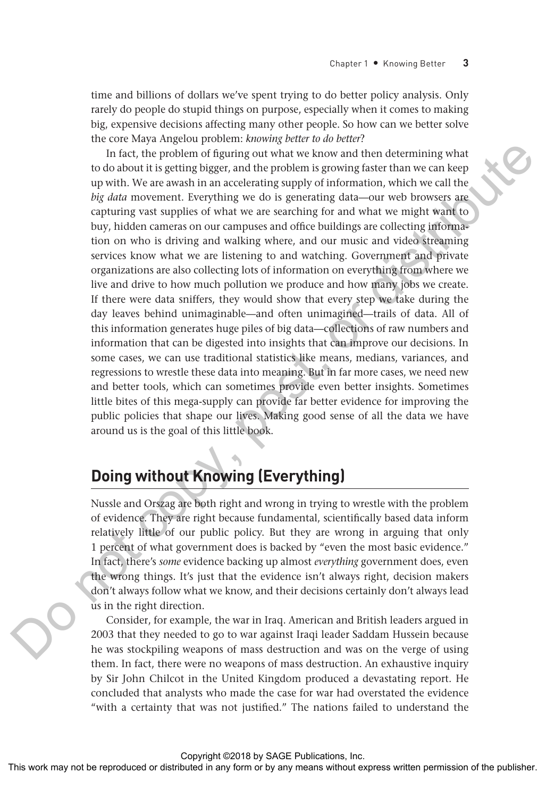time and billions of dollars we've spent trying to do better policy analysis. Only rarely do people do stupid things on purpose, especially when it comes to making big, expensive decisions affecting many other people. So how can we better solve the core Maya Angelou problem: *knowing better to do better*?

In fact, the problem of figuring out what we know and then determining what to do about it is getting bigger, and the problem is growing faster than we can keep up with. We are awash in an accelerating supply of information, which we call the *big data* movement. Everything we do is generating data—our web browsers are capturing vast supplies of what we are searching for and what we might want to buy, hidden cameras on our campuses and office buildings are collecting information on who is driving and walking where, and our music and video streaming services know what we are listening to and watching. Government and private organizations are also collecting lots of information on everything from where we live and drive to how much pollution we produce and how many jobs we create. If there were data sniffers, they would show that every step we take during the day leaves behind unimaginable—and often unimagined—trails of data. All of this information generates huge piles of big data—collections of raw numbers and information that can be digested into insights that can improve our decisions. In some cases, we can use traditional statistics like means, medians, variances, and regressions to wrestle these data into meaning. But in far more cases, we need new and better tools, which can sometimes provide even better insights. Sometimes little bites of this mega-supply can provide far better evidence for improving the public policies that shape our lives. Making good sense of all the data we have around us is the goal of this little book. In the risk may not be reproduced or distributed in a sected<br>this work may not be reproduced in any form or by any system of the reproduced in any system. We are the reproduced in a sected<br>trial publisher of the publisher

## **Doing without Knowing (Everything)**

Nussle and Orszag are both right and wrong in trying to wrestle with the problem of evidence. They are right because fundamental, scientifically based data inform relatively little of our public policy. But they are wrong in arguing that only 1 percent of what government does is backed by "even the most basic evidence." In fact, there's *some* evidence backing up almost *everything* government does, even the wrong things. It's just that the evidence isn't always right, decision makers don't always follow what we know, and their decisions certainly don't always lead us in the right direction.

Consider, for example, the war in Iraq. American and British leaders argued in 2003 that they needed to go to war against Iraqi leader Saddam Hussein because he was stockpiling weapons of mass destruction and was on the verge of using them. In fact, there were no weapons of mass destruction. An exhaustive inquiry by Sir John Chilcot in the United Kingdom produced a devastating report. He concluded that analysts who made the case for war had overstated the evidence "with a certainty that was not justified." The nations failed to understand the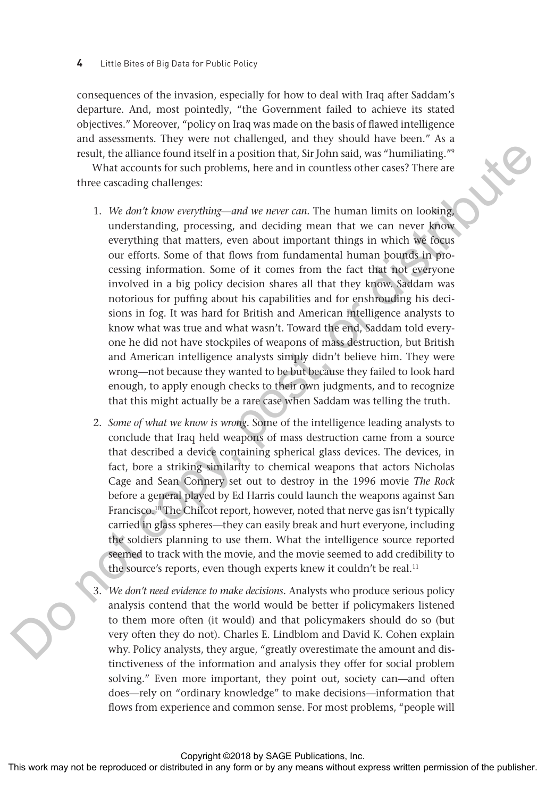consequences of the invasion, especially for how to deal with Iraq after Saddam's departure. And, most pointedly, "the Government failed to achieve its stated objectives." Moreover, "policy on Iraq was made on the basis of flawed intelligence and assessments. They were not challenged, and they should have been." As a result, the alliance found itself in a position that, Sir John said, was "humiliating."9

What accounts for such problems, here and in countless other cases? There are three cascading challenges:

- 1. *We don't know everything—and we never can.* The human limits on looking, understanding, processing, and deciding mean that we can never know everything that matters, even about important things in which we focus our efforts. Some of that flows from fundamental human bounds in processing information. Some of it comes from the fact that not everyone involved in a big policy decision shares all that they know. Saddam was notorious for puffing about his capabilities and for enshrouding his decisions in fog. It was hard for British and American intelligence analysts to know what was true and what wasn't. Toward the end, Saddam told everyone he did not have stockpiles of weapons of mass destruction, but British and American intelligence analysts simply didn't believe him. They were wrong—not because they wanted to be but because they failed to look hard enough, to apply enough checks to their own judgments, and to recognize that this might actually be a rare case when Saddam was telling the truth. The may not be reproduced or the reproduced or the results of the results of the results or distributed in a<br>properties the results of the results of the results of the results of<br>the results of the publisher. The final m
	- 2. *Some of what we know is wrong.* Some of the intelligence leading analysts to conclude that Iraq held weapons of mass destruction came from a source that described a device containing spherical glass devices. The devices, in fact, bore a striking similarity to chemical weapons that actors Nicholas Cage and Sean Connery set out to destroy in the 1996 movie *The Rock*  before a general played by Ed Harris could launch the weapons against San Francisco.<sup>10</sup> The Chilcot report, however, noted that nerve gas isn't typically carried in glass spheres—they can easily break and hurt everyone, including the soldiers planning to use them. What the intelligence source reported seemed to track with the movie, and the movie seemed to add credibility to the source's reports, even though experts knew it couldn't be real.<sup>11</sup>
		- 3. *We don't need evidence to make decisions.* Analysts who produce serious policy analysis contend that the world would be better if policymakers listened to them more often (it would) and that policymakers should do so (but very often they do not). Charles E. Lindblom and David K. Cohen explain why. Policy analysts, they argue, "greatly overestimate the amount and distinctiveness of the information and analysis they offer for social problem solving." Even more important, they point out, society can—and often does—rely on "ordinary knowledge" to make decisions—information that flows from experience and common sense. For most problems, "people will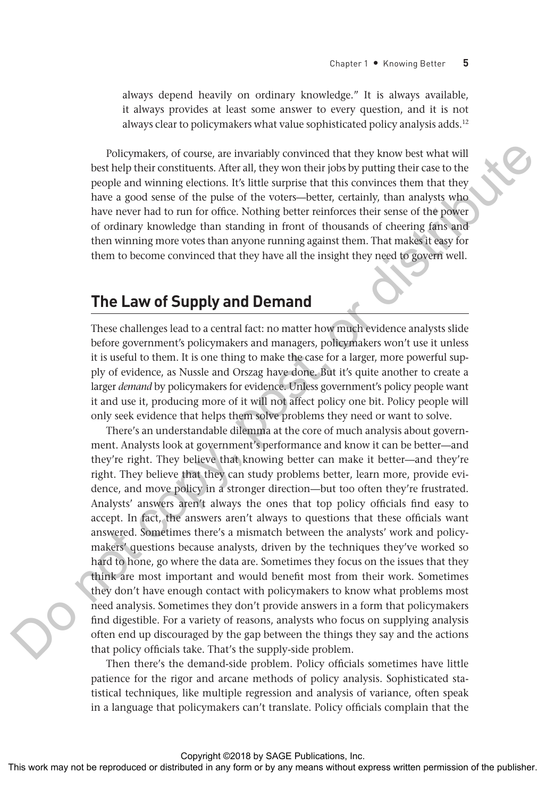always depend heavily on ordinary knowledge." It is always available, it always provides at least some answer to every question, and it is not always clear to policymakers what value sophisticated policy analysis adds.<sup>12</sup>

Policymakers, of course, are invariably convinced that they know best what will best help their constituents. After all, they won their jobs by putting their case to the people and winning elections. It's little surprise that this convinces them that they have a good sense of the pulse of the voters—better, certainly, than analysts who have never had to run for office. Nothing better reinforces their sense of the power of ordinary knowledge than standing in front of thousands of cheering fans and then winning more votes than anyone running against them. That makes it easy for them to become convinced that they have all the insight they need to govern well.

### **The Law of Supply and Demand**

These challenges lead to a central fact: no matter how much evidence analysts slide before government's policymakers and managers, policymakers won't use it unless it is useful to them. It is one thing to make the case for a larger, more powerful supply of evidence, as Nussle and Orszag have done. But it's quite another to create a larger *demand* by policymakers for evidence. Unless government's policy people want it and use it, producing more of it will not affect policy one bit. Policy people will only seek evidence that helps them solve problems they need or want to solve.

There's an understandable dilemma at the core of much analysis about government. Analysts look at government's performance and know it can be better—and they're right. They believe that knowing better can make it better—and they're right. They believe that they can study problems better, learn more, provide evidence, and move policy in a stronger direction—but too often they're frustrated. Analysts' answers aren't always the ones that top policy officials find easy to accept. In fact, the answers aren't always to questions that these officials want answered. Sometimes there's a mismatch between the analysts' work and policymakers' questions because analysts, driven by the techniques they've worked so hard to hone, go where the data are. Sometimes they focus on the issues that they think are most important and would benefit most from their work. Sometimes they don't have enough contact with policymakers to know what problems most need analysis. Sometimes they don't provide answers in a form that policymakers find digestible. For a variety of reasons, analysts who focus on supplying analysis often end up discouraged by the gap between the things they say and the actions that policy officials take. That's the supply-side problem. The means of course, an investment of the reproduced or distributed in any form or by any means with the reproduced in any means we reproduced in a mean the reproduced in the reproduced in any means we reproduced in any m

Then there's the demand-side problem. Policy officials sometimes have little patience for the rigor and arcane methods of policy analysis. Sophisticated statistical techniques, like multiple regression and analysis of variance, often speak in a language that policymakers can't translate. Policy officials complain that the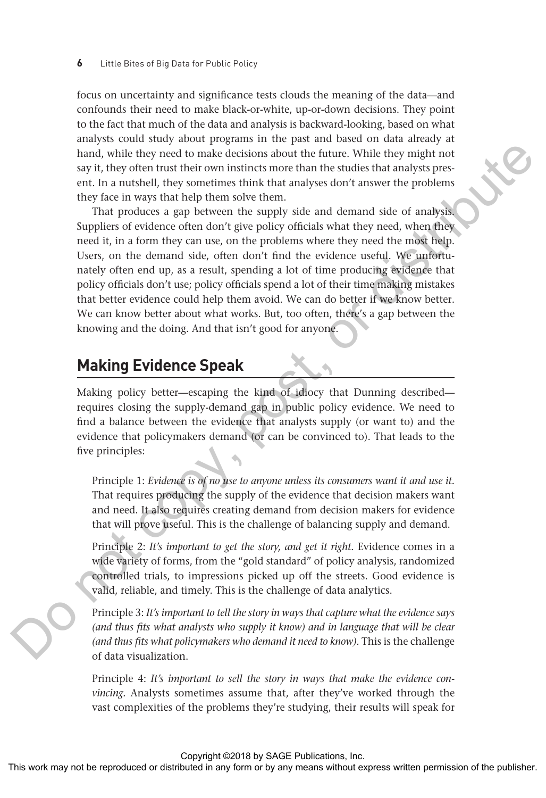focus on uncertainty and significance tests clouds the meaning of the data—and confounds their need to make black-or-white, up-or-down decisions. They point to the fact that much of the data and analysis is backward-looking, based on what analysts could study about programs in the past and based on data already at hand, while they need to make decisions about the future. While they might not say it, they often trust their own instincts more than the studies that analysts present. In a nutshell, they sometimes think that analyses don't answer the problems they face in ways that help them solve them.

That produces a gap between the supply side and demand side of analysis. Suppliers of evidence often don't give policy officials what they need, when they need it, in a form they can use, on the problems where they need the most help. Users, on the demand side, often don't find the evidence useful. We unfortunately often end up, as a result, spending a lot of time producing evidence that policy officials don't use; policy officials spend a lot of their time making mistakes that better evidence could help them avoid. We can do better if we know better. We can know better about what works. But, too often, there's a gap between the knowing and the doing. And that isn't good for anyone. The may note that the representation about the future. Which they must be reproduced to any produced or a produced in any means were the may that the publisher or distributed in any means when the publisher and the publis

### **Making Evidence Speak**

Making policy better—escaping the kind of idiocy that Dunning described requires closing the supply-demand gap in public policy evidence. We need to find a balance between the evidence that analysts supply (or want to) and the evidence that policymakers demand (or can be convinced to). That leads to the five principles:

Principle 1: *Evidence is of no use to anyone unless its consumers want it and use it.* That requires producing the supply of the evidence that decision makers want and need. It also requires creating demand from decision makers for evidence that will prove useful. This is the challenge of balancing supply and demand.

Principle 2: *It's important to get the story, and get it right.* Evidence comes in a wide variety of forms, from the "gold standard" of policy analysis, randomized controlled trials, to impressions picked up off the streets. Good evidence is valid, reliable, and timely. This is the challenge of data analytics.

Principle 3: *It's important to tell the story in ways that capture what the evidence says (and thus fits what analysts who supply it know) and in language that will be clear (and thus fits what policymakers who demand it need to know).* This is the challenge of data visualization.

Principle 4: *It's important to sell the story in ways that make the evidence convincing.* Analysts sometimes assume that, after they've worked through the vast complexities of the problems they're studying, their results will speak for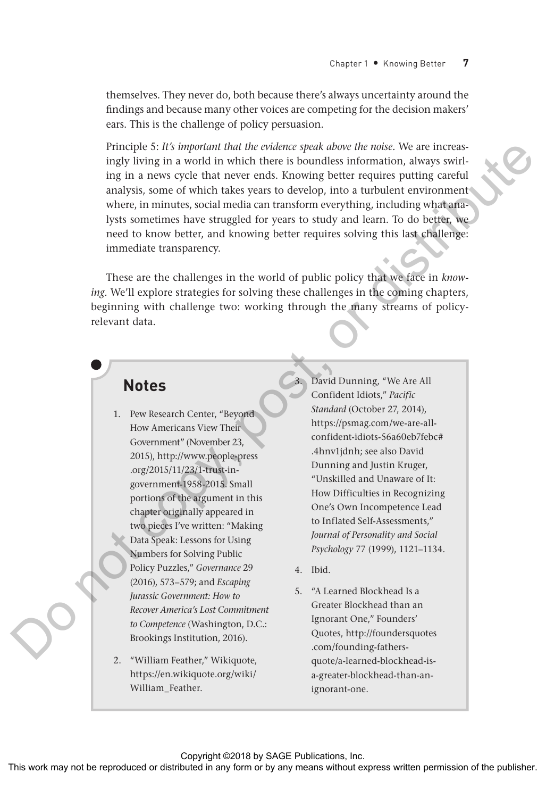themselves. They never do, both because there's always uncertainty around the findings and because many other voices are competing for the decision makers' ears. This is the challenge of policy persuasion.

Principle 5: *It's important that the evidence speak above the noise.* We are increasingly living in a world in which there is boundless information, always swirling in a news cycle that never ends. Knowing better requires putting careful analysis, some of which takes years to develop, into a turbulent environment where, in minutes, social media can transform everything, including what analysts sometimes have struggled for years to study and learn. To do better, we need to know better, and knowing better requires solving this last challenge: immediate transparency. Therefore Strain or the restricted space of the restricted or distributed or distributed or distributed or distributed in any or by any means of the publisher or distributed in any means with the publisher or distributed

These are the challenges in the world of public policy that we face in *knowing.* We'll explore strategies for solving these challenges in the coming chapters, beginning with challenge two: working through the many streams of policyrelevant data.

### **Notes**

- 1. Pew Research Center, "Beyond How Americans View Their Government" (November 23, 2015), http://www.people-press .org/2015/11/23/1-trust-ingovernment-1958-2015. Small portions of the argument in this chapter originally appeared in two pieces I've written: "Making Data Speak: Lessons for Using Numbers for Solving Public Policy Puzzles," *Governance* 29 (2016), 573–579; and *Escaping Jurassic Government: How to Recover America's Lost Commitment to Competence* (Washington, D.C.: Brookings Institution, 2016).
- 2. "William Feather," Wikiquote, https://en.wikiquote.org/wiki/ William Feather.

David Dunning, "We Are All Confident Idiots," *Pacific Standard* (October 27, 2014), https://psmag.com/we-are-allconfident-idiots-56a60eb7febc# .4hnv1jdnh; see also David Dunning and Justin Kruger, "Unskilled and Unaware of It: How Difficulties in Recognizing One's Own Incompetence Lead to Inflated Self-Assessments," *Journal of Personality and Social Psychology* 77 (1999), 1121–1134.

- 4. Ibid.
- 5. "A Learned Blockhead Is a Greater Blockhead than an Ignorant One," Founders' Quotes, http://foundersquotes .com/founding-fathersquote/a-learned-blockhead-isa-greater-blockhead-than-anignorant-one.